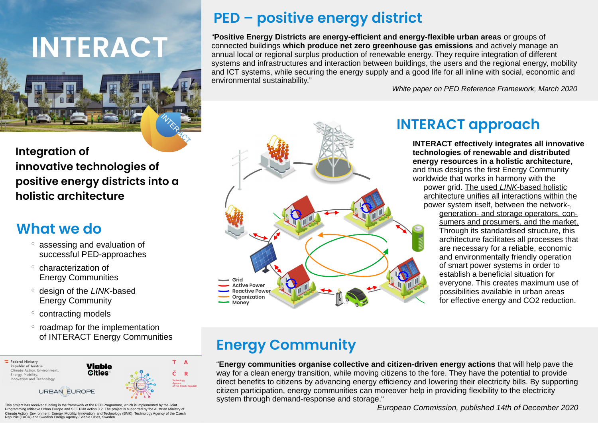

#### **Integration of innovative technologies of positive energy districts into a holistic architecture**

### **What we do**

- assessing and evaluation of successful PED-approaches
- characterization of Energy Communities
- design of the *LINK*-based Energy Community
- contracting models
- roadmap for the implementation of INTERACT Energy Communities



**PED – positive energy district** 

"**Positive Energy Districts are energy-efficient and energy-flexible urban areas** or groups of connected buildings **which produce net zero greenhouse gas emissions** and actively manage an annual local or regional surplus production of renewable energy. They require integration of different systems and infrastructures and interaction between buildings, the users and the regional energy, mobility and ICT systems, while securing the energy supply and a good life for all inline with social, economic and environmental sustainability."

*White paper on PED Reference Framework, March 2020*



## **INTERACT approach**

**INTERACT effectively integrates all innovative technologies of renewable and distributed energy resources in a holistic architecture,** and thus designs the first Energy Community worldwide that works in harmony with the power grid. The used *LINK*-based holistic architecture unifies all interactions within the power system itself, between the network-, generation- and storage operators, con sumers and prosumers, and the market. Through its standardised structure, this architecture facilitates all processes that are necessary for a reliable, economic and environmentally friendly operation of smart power systems in order to establish a beneficial situation for everyone. This creates maximum use of possibilities available in urban areas for effective energy and CO2 reduction.

# **Energy Community**

"**Energy communities organise collective and citizen-driven energy actions** that will help pave the way for a clean energy transition, while moving citizens to the fore. They have the potential to provide direct benefits to citizens by advancing energy efficiency and lowering their electricity bills. By supporting citizen participation, energy communities can moreover help in providing flexibility to the electricity system through demand-response and storage."

*European Commission, published 14th of December 2020*

This project has received funding in the framework of the PED Programme, which is implemented by the Joint Programming Initiative Urban Europe and SET Plan Action 3.2. The project is supported by the Austrian Ministry of Climate Action, Environment, Energy, Mobility, Innovation, and Technology (BMK), Technology Agency of the Czech Republic (TAČR) and Swedish Energy Agency / Viable Cities, Swede